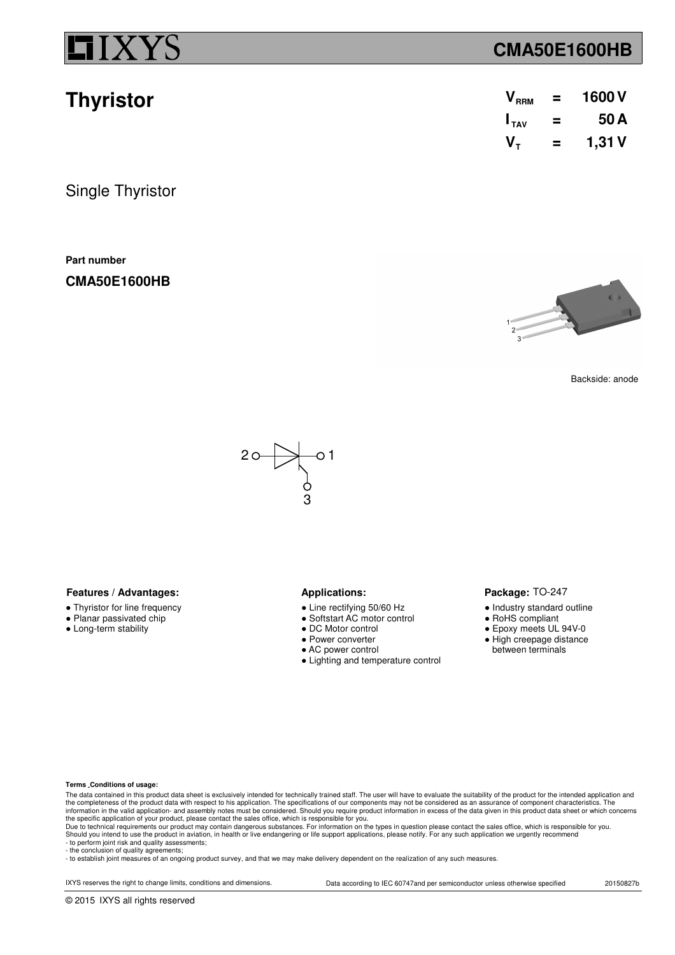**Thyristor**

### **CMA50E1600HB**

| V <sub>RRM</sub> | = | 1600V |
|------------------|---|-------|
| $I_{\text{tau}}$ | = | 50A   |
| $V_{\tau}$       | = | 1,31V |

Single Thyristor

**Part number**

**CMA50E1600HB**



Backside: anode



### **Features / Advantages:** Applications:

- Thyristor for line frequency
- Planar passivated chip
- Long-term stability

- Line rectifying 50/60 Hz
- Softstart AC motor control
- DC Motor control
- Power converter
- AC power control
- Lighting and temperature control

#### Package: TO-247

- Industry standard outline
- RoHS compliant
- Epoxy meets UL 94V-0
- High creepage distance between terminals

#### **Terms Conditions of usage:**

The data contained in this product data sheet is exclusively intended for technically trained staff. The user will have to evaluate the suitability of the product for the intended application and<br>the completeness of the pr information in the valid application- and assembly notes must be considered. Should you require product information in excess of the data given in this product data sheet or which concerns<br>the specific application of your

- to perform joint risk and quality assessments; - the conclusion of quality agreements;

- to establish joint measures of an ongoing product survey, and that we may make delivery dependent on the realization of any such measures.

IXYS reserves the right to change limits, conditions and dimensions. Data according to IEC 60747and per semiconductor unless otherwise specified 20150827b

© 2015 IXYS all rights reserved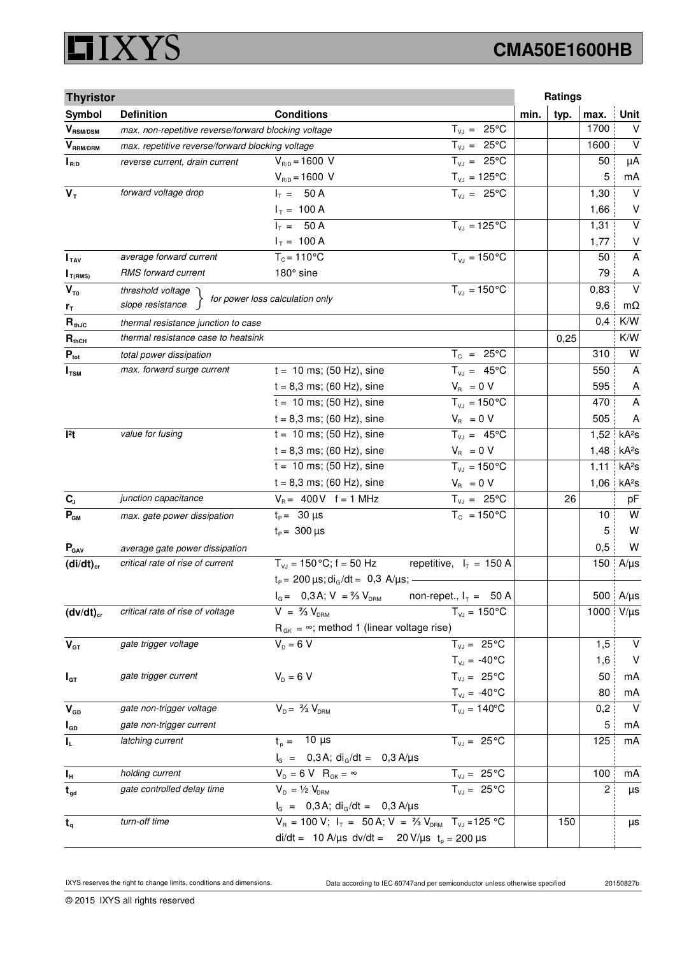### **XYS** Ľ

# **CMA50E1600HB**

| <b>Thyristor</b>                           |                                                      |                                                                            |                                   |      | Ratings |                |                   |
|--------------------------------------------|------------------------------------------------------|----------------------------------------------------------------------------|-----------------------------------|------|---------|----------------|-------------------|
| Symbol                                     | <b>Definition</b>                                    | <b>Conditions</b>                                                          |                                   | min. | typ.    | max.           | <b>Unit</b>       |
| $\bm{V}_{\text{RSM/DSM}}$                  | max. non-repetitive reverse/forward blocking voltage |                                                                            | $T_{VJ} = 25^{\circ}C$            |      |         | 1700           | V                 |
| $V_{\scriptscriptstyle \sf{RRM}/\sf{DRM}}$ | max. repetitive reverse/forward blocking voltage     |                                                                            | $T_{VJ} = 25^{\circ}C$            |      |         | 1600           | $\vee$            |
| $I_{R/D}$                                  | reverse current, drain current                       | $V_{R/D} = 1600 V$                                                         | $T_{VJ} = 25^{\circ}C$            |      |         | 50             | μA                |
|                                            |                                                      | $V_{R/D} = 1600 V$                                                         | $T_{\nu J} = 125$ °C              |      |         | 5              | mA                |
| $V_T$                                      | forward voltage drop                                 | $I_T = 50 A$                                                               | $T_{V,1} = 25^{\circ}C$           |      |         | 1,30           | $\vee$            |
|                                            |                                                      | $I_T = 100 A$                                                              |                                   |      |         | 1,66           | V                 |
|                                            |                                                      | $I_T = 50 A$                                                               | $T_{VJ} = 125 \degree C$          |      |         | 1,31           | $\vee$            |
|                                            |                                                      | $I_T = 100 A$                                                              |                                   |      |         | 1,77           | V                 |
| I <sub>TAV</sub>                           | average forward current                              | $T_c = 110^{\circ}$ C                                                      | $T_{V1} = 150^{\circ}C$           |      |         | 50             | A                 |
| $I_{T(RMS)}$                               | RMS forward current                                  | 180° sine                                                                  |                                   |      |         | 79             | A                 |
| $V_{\tau_0}$                               | threshold voltage                                    | for power loss calculation only                                            | $T_{VJ} = 150 °C$                 |      |         | 0,83           | $\vee$            |
| $r_{\tau}$                                 | slope resistance                                     |                                                                            |                                   |      |         | 9,6            | $m\Omega$         |
| $R_{thJC}$                                 | thermal resistance junction to case                  |                                                                            |                                   |      |         | 0,4            | K/W               |
| $R_{thCH}$                                 | thermal resistance case to heatsink                  |                                                                            |                                   |      | 0,25    |                | K/W               |
| $P_{\text{tot}}$                           | total power dissipation                              |                                                                            | $T_c = 25^{\circ}C$               |      |         | 310            | W                 |
| $I_{\texttt{TSM}}$                         | max. forward surge current                           | $t = 10$ ms; (50 Hz), sine                                                 | $T_{VJ} = 45^{\circ}C$            |      |         | 550            | A                 |
|                                            |                                                      | $t = 8,3$ ms; (60 Hz), sine                                                | $V_{\rm R} = 0 V$                 |      |         | 595            | A                 |
|                                            |                                                      | $t = 10$ ms; (50 Hz), sine                                                 | $T_{V,I} = 150^{\circ}C$          |      |         | 470            | A                 |
|                                            |                                                      | $t = 8,3$ ms; (60 Hz), sine                                                | $V_{B} = 0 V$                     |      |         | 505            | Α                 |
| 12t                                        | value for fusing                                     | $t = 10$ ms; (50 Hz), sine                                                 | $T_{VJ} = 45^{\circ}C$            |      |         | 1,52           | kA <sup>2</sup> S |
|                                            |                                                      | $t = 8,3$ ms; (60 Hz), sine                                                | $V_R = 0 V$                       |      |         | 1,48           | kA <sup>2</sup> s |
|                                            |                                                      | $t = 10$ ms; (50 Hz), sine                                                 | $T_{VJ} = 150^{\circ}C$           |      |         | 1,11           | kA <sup>2</sup> S |
|                                            |                                                      | $t = 8,3$ ms; (60 Hz), sine                                                | $V_{\rm R} = 0 V$                 |      |         | 1,06           | kA <sup>2</sup> s |
| $C_{J}$                                    | junction capacitance                                 | $V_R = 400V$ f = 1 MHz                                                     | $T_{VJ} = 25^{\circ}C$            |      | 26      |                | pF                |
| $P_{GM}$                                   | max. gate power dissipation                          | $t_{p} = 30 \,\mu s$                                                       | $T_c = 150^{\circ}$ C             |      |         | 10             | W                 |
|                                            |                                                      | $t_{\rm p} = 300 \,\mu s$                                                  |                                   |      |         | 5              | W                 |
| $P_{\text{GAV}}$                           | average gate power dissipation                       |                                                                            |                                   |      |         | 0,5            | W                 |
| $(di/dt)_{cr}$                             | critical rate of rise of current                     | $T_{V,I}$ = 150 °C; f = 50 Hz                                              | repetitive, $I_T = 150$ A         |      |         | 150            | $A/\mu s$         |
|                                            |                                                      | $t_P = 200 \,\mu s$ ; di <sub>G</sub> /dt = 0,3 A/ $\mu s$ ; -             |                                   |      |         |                |                   |
|                                            |                                                      | $I_G = 0,3A; V = \frac{2}{3} V_{DRM}$                                      | non-repet., $I_T = 50$ A          |      |         |                | 500 A/µs          |
| $(dv/dt)_{cr}$                             | critical rate of rise of voltage                     | $V = \frac{2}{3} V_{DBM}$                                                  | $T_{VJ} = 150^{\circ}C$           |      |         | 1000           | $V/\mu s$         |
|                                            |                                                      | $R_{GK} = \infty$ ; method 1 (linear voltage rise)                         |                                   |      |         |                |                   |
| $\mathbf{V}_{\text{GT}}$                   | gate trigger voltage                                 | $V_{D} = 6 V$                                                              | $T_{VJ} = 25^{\circ}C$            |      |         | 1,5            | $\vee$            |
|                                            |                                                      |                                                                            | $T_{VJ} = -40\degree C$           |      |         | 1,6            | $\vee$            |
| $I_{GT}$                                   | gate trigger current                                 | $V_{D} = 6 V$                                                              | $T_{VJ} = 25^{\circ}C$            |      |         | 50             | mA                |
|                                            |                                                      |                                                                            | $T_{\text{VJ}} = -40^{\circ}C$    |      |         | 80             | mA                |
| $\mathbf{V}_{\texttt{GD}}$                 | gate non-trigger voltage                             | $V_{D} = \frac{2}{3} V_{DBM}$                                              | $\overline{T_{VJ}}$ = 140°C       |      |         | 0,2            | $\vee$            |
| $I_{GD}$                                   | gate non-trigger current                             |                                                                            |                                   |      |         | 5              | mA                |
| $\mathbf{l}_\mathsf{L}$                    | latching current                                     | $t_{p} = 10 \mu s$                                                         | $T_{VJ} = 25^{\circ}C$            |      |         | 125            | mA                |
|                                            |                                                      | $I_G$ = 0,3 A; di <sub>G</sub> /dt = 0,3 A/ $\mu$ s                        |                                   |      |         |                |                   |
| Iн                                         | holding current                                      | $V_D = 6 V R_{GK} = \infty$                                                | $T_{VJ} = 25^{\circ}C$            |      |         | 100            | mA                |
| $t_{gd}$                                   | gate controlled delay time                           | $V_{D} = \frac{1}{2} V_{DRM}$                                              | $\overline{T_{VJ}} = 25^{\circ}C$ |      |         | $\overline{c}$ | $\mu s$           |
|                                            |                                                      | $I_G = 0,3A; \text{di}_G/dt = 0,3A/\mu s$                                  |                                   |      |         |                |                   |
| $t_q$                                      | turn-off time                                        | $V_R = 100 V$ ; $I_T = 50 A$ ; $V = \frac{2}{3} V_{DRM}$ $T_{VJ} = 125 °C$ |                                   |      | 150     |                | μs                |
|                                            |                                                      | di/dt = 10 A/µs dv/dt = 20 V/µs $t_0 = 200 \mu s$                          |                                   |      |         |                |                   |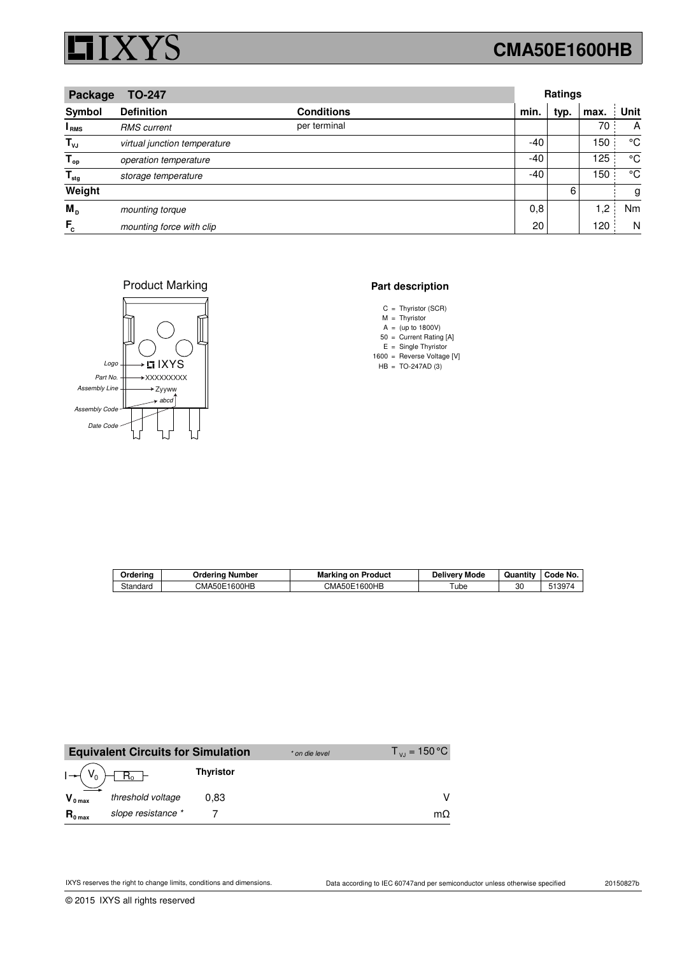

## **CMA50E1600HB**

| Package<br><b>TO-247</b>  |                              |                   | Ratings |      |      |      |
|---------------------------|------------------------------|-------------------|---------|------|------|------|
| Symbol                    | <b>Definition</b>            | <b>Conditions</b> | min.    | typ. | max. | Unit |
| <sup>I</sup> RMS          | <b>RMS</b> current           | per terminal      |         |      | 70   | A    |
| $T_{\nu J}$               | virtual junction temperature |                   | -40     |      | 150  | °C   |
| $T_{op}$                  | operation temperature        |                   | -40     |      | 125  | °C   |
| $\mathsf{T}_{\text{stg}}$ | storage temperature          |                   | -40     |      | 150  | °C   |
| Weight                    |                              |                   |         | 6    |      | g    |
| M <sub>D</sub>            | mounting torque              |                   | 0,8     |      | 1,2  | Nm   |
| $F_c$                     | mounting force with clip     |                   | 20      |      | 120  | N    |

Product Marking



#### **Part description**

- C Thyristor (SCR) =
- M Thyristor =
- A (up to 1800V) =
- 50  $E =$  Single Thyristor = Current Rating [A]
- 1600 = Reverse Voltage [V]
- HB TO-247AD (3) =

| Ordering | Orderina<br>∣ Number | Marking on<br>Product | Mode<br>Deliverv | $\cdot$ .<br>Quantity | Code No. |
|----------|----------------------|-----------------------|------------------|-----------------------|----------|
| Standard | 1600HB<br>CMA50E     | CMA50E1600HB          | Tube             | 30                    | 513974   |

|                     | <b>Equivalent Circuits for Simulation</b> |                  | * on die level | $T_{\rm vir}$ = 150 °C |
|---------------------|-------------------------------------------|------------------|----------------|------------------------|
|                     |                                           | <b>Thyristor</b> |                |                        |
| $V_{0 max}$         | threshold voltage                         | 0.83             |                |                        |
| $R_{0 \text{ max}}$ | slope resistance *                        |                  |                | mO                     |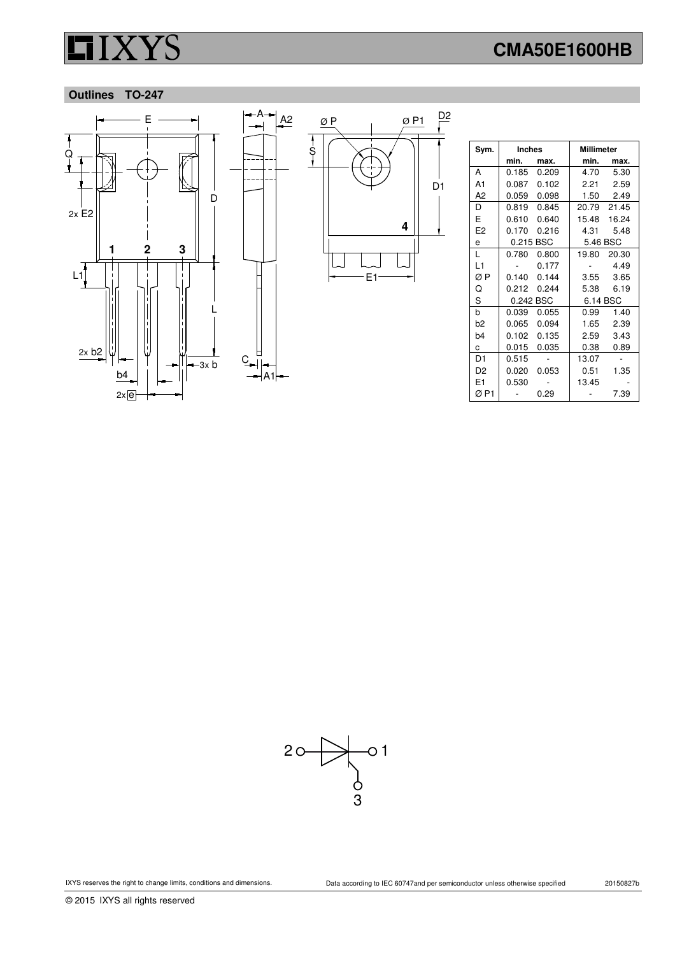## **CMA50E1600HB**

### **Outlines TO-247**



| Sym.           | <b>Inches</b> |             | <b>Millimeter</b> |             |
|----------------|---------------|-------------|-------------------|-------------|
|                | min.          | max.        | min.              | max.        |
| А              | 0.185         | 0.209       | 4.70              | 5.30        |
| A1             | 0.087         | 0.102       | 2.21              | 2.59        |
| А2             |               | 0.059 0.098 |                   | 1.50 2.49   |
| D              |               | 0.819 0.845 |                   | 20.79 21.45 |
| E              | 0.610         | 0.640       | 15.48             | 16.24       |
| E2             | 0.170         | 0.216       | 4.31              | 5.48        |
| e              | 0.215 BSC     |             | 5.46 BSC          |             |
| L              | 0.780         | 0.800       | 19.80             | 20.30       |
| L1             |               | 0.177       |                   | 4.49        |
| ØΡ             | 0.140         | 0.144       | 3.55              | 3.65        |
| Q              |               | 0.212 0.244 | 5.38              | 6.19        |
| S              | 0.242 BSC     |             | 6.14 BSC          |             |
| b              | 0.039         | 0.055       | 0.99              | 1.40        |
| b2             | 0.065         | 0.094       | 1.65              | 2.39        |
| b4             | 0.102         | 0.135       | 2.59              | 3.43        |
| с              | 0.015         | 0.035       | 0.38              | 0.89        |
| D <sub>1</sub> | 0.515         |             | 13.07             |             |
| D2             | 0.020         | 0.053       | 0.51              | 1.35        |
| E1             | 0.530         |             | 13.45             |             |
| ØP1            |               | 0.29        |                   | 7.39        |

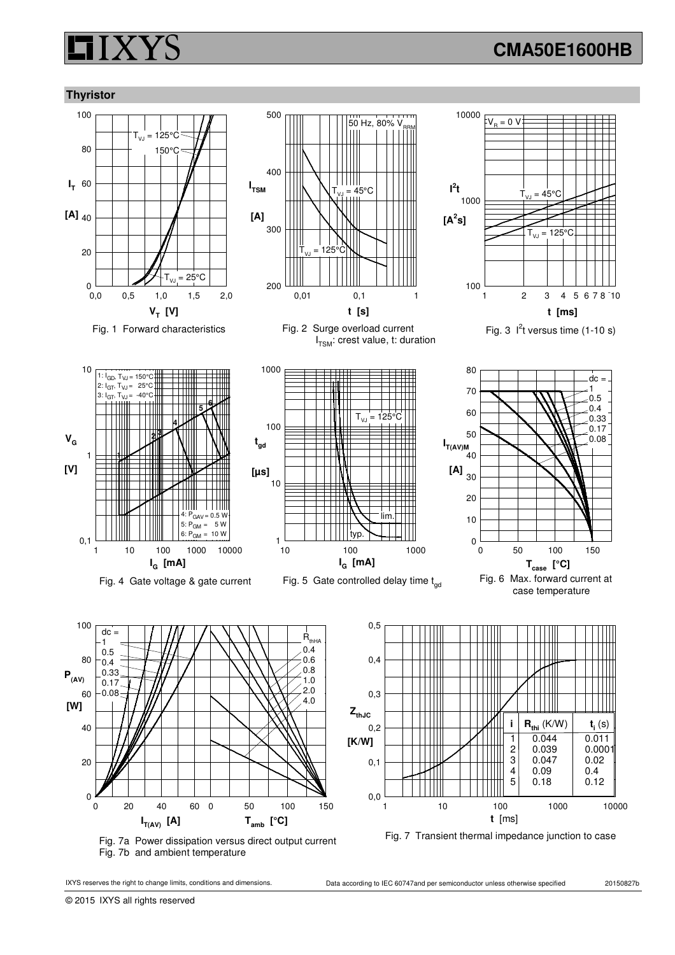## **CMA50E1600HB**

### **Thyristor**



Fig. 1 Forward characteristics Fig. 2 Surge overload current





0,01 0,1

125

 ${\sf T}_{_{\sf {VJ}}}$  = 45°C

50 Hz, 80% V

I<sub>TSM</sub>: crest value, t: duration

200

300

400

**I TSM**

**[A]**

500





Fig. 3  $1<sup>2</sup>t$  versus time (1-10 s)







Fig. 7a Power dissipation versus direct output current Fig. 7b and ambient temperature





**P(AV)**

**[W]**